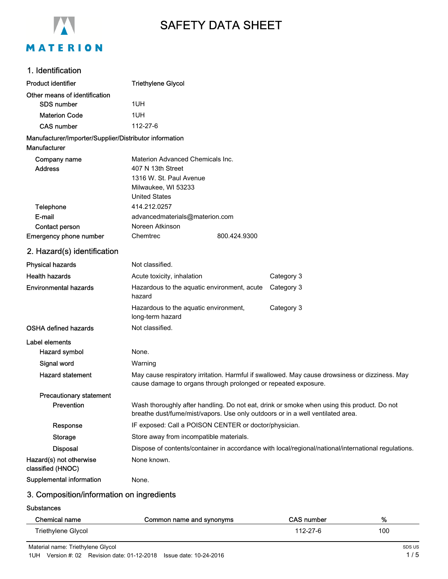

# SAFETY DATA SHEET

# 1. Identification

| <b>Product identifier</b>                              | <b>Triethylene Glycol</b>                                                                                                                                                    |              |            |
|--------------------------------------------------------|------------------------------------------------------------------------------------------------------------------------------------------------------------------------------|--------------|------------|
| Other means of identification                          |                                                                                                                                                                              |              |            |
| <b>SDS number</b>                                      | 1UH                                                                                                                                                                          |              |            |
| <b>Materion Code</b>                                   | 1UH                                                                                                                                                                          |              |            |
| <b>CAS number</b>                                      | 112-27-6                                                                                                                                                                     |              |            |
| Manufacturer/Importer/Supplier/Distributor information |                                                                                                                                                                              |              |            |
| Manufacturer                                           |                                                                                                                                                                              |              |            |
| Company name                                           | Materion Advanced Chemicals Inc.                                                                                                                                             |              |            |
| <b>Address</b>                                         | 407 N 13th Street                                                                                                                                                            |              |            |
|                                                        | 1316 W. St. Paul Avenue                                                                                                                                                      |              |            |
|                                                        | Milwaukee, WI 53233<br><b>United States</b>                                                                                                                                  |              |            |
| Telephone                                              | 414.212.0257                                                                                                                                                                 |              |            |
| E-mail                                                 | advancedmaterials@materion.com                                                                                                                                               |              |            |
| Contact person                                         | Noreen Atkinson                                                                                                                                                              |              |            |
| <b>Emergency phone number</b>                          | Chemtrec                                                                                                                                                                     | 800.424.9300 |            |
| 2. Hazard(s) identification                            |                                                                                                                                                                              |              |            |
| <b>Physical hazards</b>                                | Not classified.                                                                                                                                                              |              |            |
| <b>Health hazards</b>                                  | Acute toxicity, inhalation                                                                                                                                                   |              | Category 3 |
| <b>Environmental hazards</b>                           | Hazardous to the aquatic environment, acute<br>hazard                                                                                                                        |              | Category 3 |
|                                                        | Hazardous to the aquatic environment,<br>long-term hazard                                                                                                                    |              | Category 3 |
| <b>OSHA defined hazards</b>                            | Not classified.                                                                                                                                                              |              |            |
| Label elements                                         |                                                                                                                                                                              |              |            |
| <b>Hazard symbol</b>                                   | None.                                                                                                                                                                        |              |            |
| Signal word                                            | Warning                                                                                                                                                                      |              |            |
| <b>Hazard statement</b>                                | May cause respiratory irritation. Harmful if swallowed. May cause drowsiness or dizziness. May<br>cause damage to organs through prolonged or repeated exposure.             |              |            |
| <b>Precautionary statement</b>                         |                                                                                                                                                                              |              |            |
| Prevention                                             | Wash thoroughly after handling. Do not eat, drink or smoke when using this product. Do not<br>breathe dust/fume/mist/vapors. Use only outdoors or in a well ventilated area. |              |            |
| Response                                               | IF exposed: Call a POISON CENTER or doctor/physician.                                                                                                                        |              |            |
| Storage                                                | Store away from incompatible materials.                                                                                                                                      |              |            |
| <b>Disposal</b>                                        | Dispose of contents/container in accordance with local/regional/national/international regulations.                                                                          |              |            |
| Hazard(s) not otherwise<br>classified (HNOC)           | None known.                                                                                                                                                                  |              |            |
| Supplemental information                               | None.                                                                                                                                                                        |              |            |
|                                                        |                                                                                                                                                                              |              |            |

# 3. Composition/information on ingredients

**Substances** 

| Chemical name      | Common name and synonyms | <b>CAS number</b> | %   |
|--------------------|--------------------------|-------------------|-----|
| Triethylene Glycol |                          | 112-27-6          | 100 |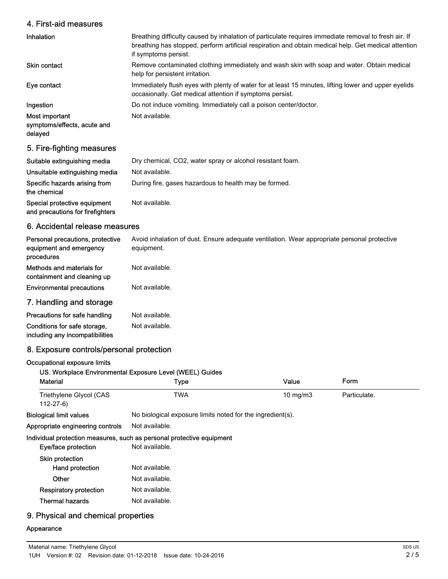#### 4. First-aid measures

| Inhalation                                               | Breathing difficulty caused by inhalation of particulate requires immediate removal to fresh air. If<br>breathing has stopped, perform artificial respiration and obtain medical help. Get medical attention<br>if symptoms persist. |
|----------------------------------------------------------|--------------------------------------------------------------------------------------------------------------------------------------------------------------------------------------------------------------------------------------|
| <b>Skin contact</b>                                      | Remove contaminated clothing immediately and wash skin with soap and water. Obtain medical<br>help for persistent irritation.                                                                                                        |
| Eye contact                                              | Immediately flush eyes with plenty of water for at least 15 minutes, lifting lower and upper eyelids<br>occasionally. Get medical attention if symptoms persist.                                                                     |
| Ingestion                                                | Do not induce vomiting. Immediately call a poison center/doctor.                                                                                                                                                                     |
| Most important<br>symptoms/effects, acute and<br>delayed | Not available.                                                                                                                                                                                                                       |

# 5. Fire-fighting measures

| Suitable extinguishing media                                     | Dry chemical, CO2, water spray or alcohol resistant foam. |
|------------------------------------------------------------------|-----------------------------------------------------------|
| Unsuitable extinguishing media                                   | Not available.                                            |
| Specific hazards arising from<br>the chemical                    | During fire, gases hazardous to health may be formed.     |
| Special protective equipment<br>and precautions for firefighters | Not available.                                            |

# 6. Accidental release measures

| Personal precautions, protective<br>equipment and emergency<br>procedures | Avoid inhalation of dust. Ensure adequate ventilation. Wear appropriate personal protective<br>equipment. |
|---------------------------------------------------------------------------|-----------------------------------------------------------------------------------------------------------|
| Methods and materials for<br>containment and cleaning up                  | Not available.                                                                                            |
| <b>Environmental precautions</b>                                          | Not available.                                                                                            |
| 7. Handling and storage                                                   |                                                                                                           |
| Precautions for safe handling                                             | Not available.                                                                                            |
| Conditions for safe storage.                                              | Not available.                                                                                            |

including any incompatibilities

#### 8. Exposure controls/personal protection

#### Occupational exposure limits

#### US. Workplace Environmental Exposure Level (WEEL) Guides

| <b>Material</b>                           | <b>Type</b>                                                           | Value         | Form         |  |
|-------------------------------------------|-----------------------------------------------------------------------|---------------|--------------|--|
| Triethylene Glycol (CAS<br>$112 - 27 - 6$ | <b>TWA</b>                                                            | $10$ mg/m $3$ | Particulate. |  |
| <b>Biological limit values</b>            | No biological exposure limits noted for the ingredient(s).            |               |              |  |
| Appropriate engineering controls          | Not available.                                                        |               |              |  |
|                                           | Individual protection measures, such as personal protective equipment |               |              |  |
| Eye/face protection                       | Not available.                                                        |               |              |  |
| <b>Skin protection</b>                    |                                                                       |               |              |  |
| Hand protection                           | Not available.                                                        |               |              |  |
| Other                                     | Not available.                                                        |               |              |  |
| <b>Respiratory protection</b>             | Not available.                                                        |               |              |  |
| <b>Thermal hazards</b>                    | Not available.                                                        |               |              |  |
|                                           |                                                                       |               |              |  |

#### 9. Physical and chemical properties

# Appearance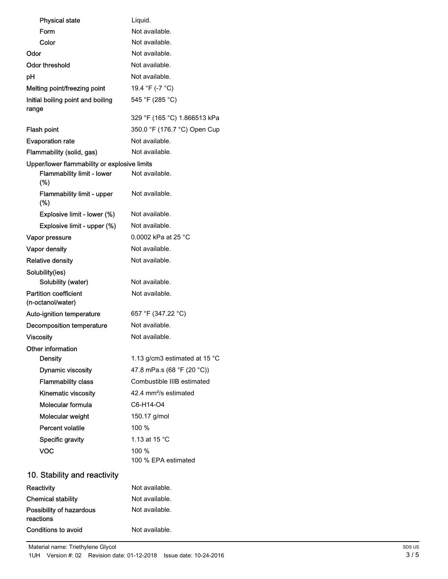| <b>Physical state</b>                             | Liquid.                                 |
|---------------------------------------------------|-----------------------------------------|
| Form                                              | Not available.                          |
| Color                                             | Not available.                          |
| Odor                                              | Not available.                          |
| Odor threshold                                    | Not available.                          |
| pH                                                | Not available.                          |
| Melting point/freezing point                      | 19.4 °F (-7 °C)                         |
| Initial boiling point and boiling<br>range        | 545 °F (285 °C)                         |
|                                                   | 329 °F (165 °C) 1.866513 kPa            |
| Flash point                                       | 350.0 °F (176.7 °C) Open Cup            |
| <b>Evaporation rate</b>                           | Not available.                          |
| Flammability (solid, gas)                         | Not available.                          |
| Upper/lower flammability or explosive limits      |                                         |
| <b>Flammability limit - lower</b><br>(%)          | Not available.                          |
| Flammability limit - upper<br>(%)                 | Not available.                          |
| Explosive limit - lower (%)                       | Not available.                          |
| Explosive limit - upper (%)                       | Not available.                          |
| Vapor pressure                                    | 0.0002 kPa at 25 °C                     |
| Vapor density                                     | Not available.                          |
| <b>Relative density</b>                           | Not available.                          |
| Solubility(ies)                                   |                                         |
| Solubility (water)                                | Not available.                          |
| <b>Partition coefficient</b><br>(n-octanol/water) | Not available.                          |
| Auto-ignition temperature                         | 657 °F (347.22 °C)                      |
| Decomposition temperature                         | Not available.                          |
| <b>Viscosity</b>                                  | Not available.                          |
| Other information                                 |                                         |
| <b>Density</b>                                    | 1.13 g/cm3 estimated at 15 $^{\circ}$ C |
| <b>Dynamic viscosity</b>                          | 47.8 mPa.s (68 °F (20 °C))              |
| <b>Flammability class</b>                         | Combustible IIIB estimated              |
| Kinematic viscosity                               | 42.4 mm <sup>2</sup> /s estimated       |
| Molecular formula                                 | C6-H14-O4                               |
| Molecular weight                                  | 150.17 g/mol                            |
| <b>Percent volatile</b>                           | 100 %                                   |
| Specific gravity                                  | 1.13 at 15 $\degree$ C                  |
| VOC                                               | 100 %                                   |
|                                                   | 100 % EPA estimated                     |
| 10. Stability and reactivity                      |                                         |
| Reactivity                                        | Not available.                          |
| <b>Chemical stability</b>                         | Not available.                          |
| Possibility of hazardous<br>reactions             | Not available.                          |

Conditions to avoid Not available.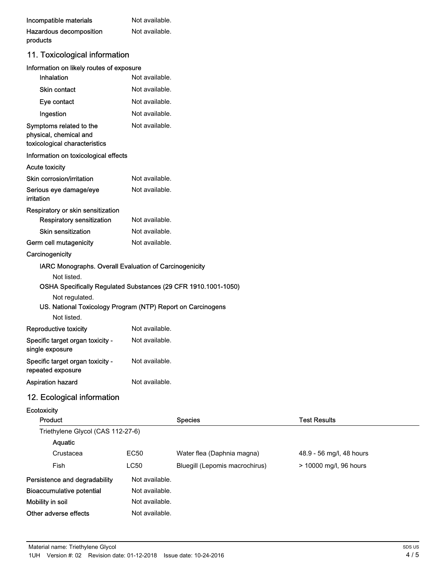| Incompatible materials  | Not available. |
|-------------------------|----------------|
| Hazardous decomposition | Not available. |
| products                |                |

# 11. Toxicological information

| Information on likely routes of exposure                                           |                                                                |  |
|------------------------------------------------------------------------------------|----------------------------------------------------------------|--|
| Inhalation                                                                         | Not available.                                                 |  |
| <b>Skin contact</b>                                                                | Not available.                                                 |  |
| Eye contact                                                                        | Not available.                                                 |  |
| Ingestion                                                                          | Not available.                                                 |  |
| Symptoms related to the<br>physical, chemical and<br>toxicological characteristics | Not available.                                                 |  |
| Information on toxicological effects                                               |                                                                |  |
| <b>Acute toxicity</b>                                                              |                                                                |  |
| Skin corrosion/irritation                                                          | Not available.                                                 |  |
| Serious eye damage/eye<br><i>irritation</i>                                        | Not available.                                                 |  |
| Respiratory or skin sensitization                                                  |                                                                |  |
| <b>Respiratory sensitization</b>                                                   | Not available.                                                 |  |
| <b>Skin sensitization</b>                                                          | Not available.                                                 |  |
| Germ cell mutagenicity                                                             | Not available.                                                 |  |
| Carcinogenicity                                                                    |                                                                |  |
| IARC Monographs. Overall Evaluation of Carcinogenicity                             |                                                                |  |
| Not listed.                                                                        |                                                                |  |
|                                                                                    | OSHA Specifically Regulated Substances (29 CFR 1910.1001-1050) |  |
| Not regulated.<br>US. National Toxicology Program (NTP) Report on Carcinogens      |                                                                |  |
|                                                                                    |                                                                |  |
| Not listed.                                                                        |                                                                |  |
|                                                                                    | Not available.                                                 |  |
| Reproductive toxicity<br>Specific target organ toxicity -<br>single exposure       | Not available.                                                 |  |
| Specific target organ toxicity -<br>repeated exposure                              | Not available.                                                 |  |

# 12. Ecological information

| Ecotoxicity                       |                |                                |                          |  |
|-----------------------------------|----------------|--------------------------------|--------------------------|--|
| Product                           |                | <b>Species</b>                 | Test Results             |  |
| Triethylene Glycol (CAS 112-27-6) |                |                                |                          |  |
| Aquatic                           |                |                                |                          |  |
| Crustacea                         | <b>EC50</b>    | Water flea (Daphnia magna)     | 48.9 - 56 mg/l, 48 hours |  |
| Fish                              | <b>LC50</b>    | Bluegill (Lepomis macrochirus) | > 10000 mg/l, 96 hours   |  |
| Persistence and degradability     | Not available. |                                |                          |  |
| Bioaccumulative potential         | Not available. |                                |                          |  |
| Mobility in soil                  | Not available. |                                |                          |  |
| Other adverse effects             | Not available. |                                |                          |  |